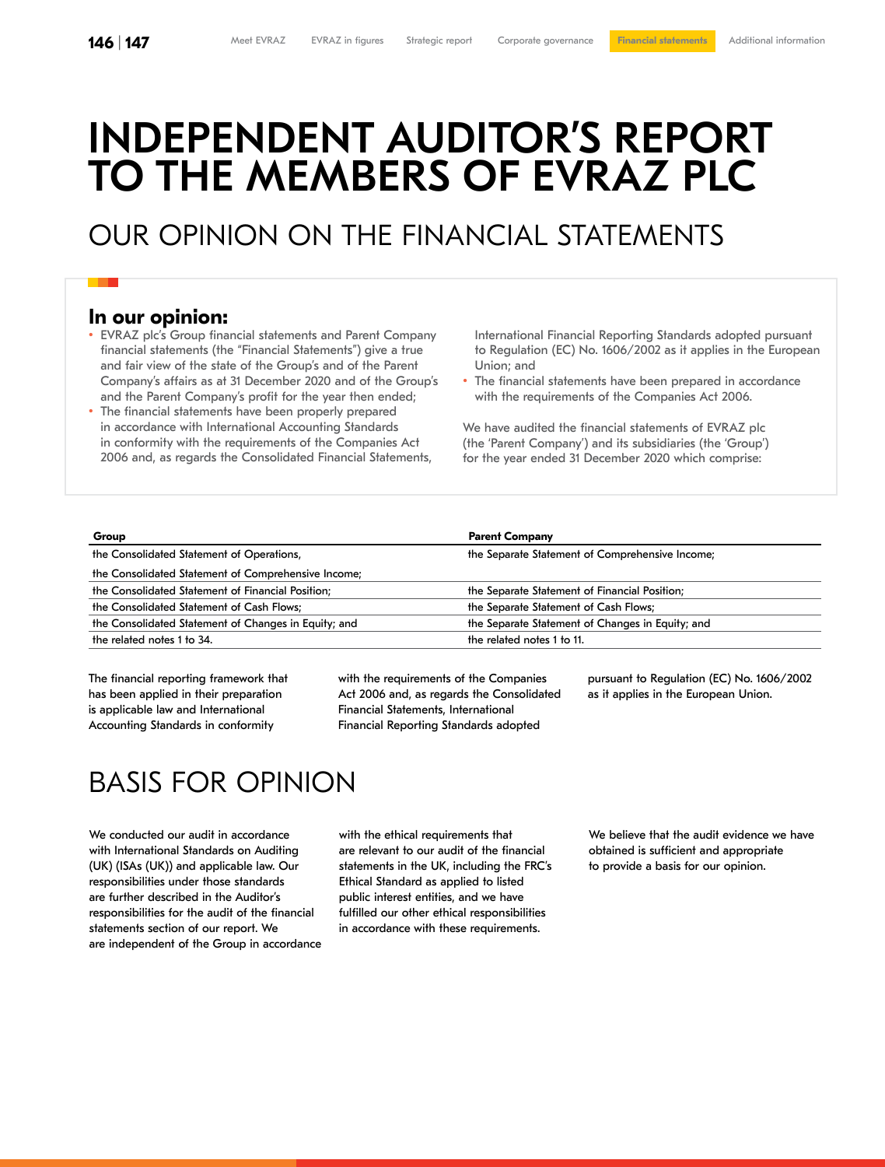# INDEPENDENT AUDITOR'S REPORT TO THE MEMBERS OF EVRAZ PLC

# OUR OPINION ON THE FINANCIAL STATEMENTS

### **In our opinion:**

- **•** EVRAZ plc's Group financial statements and Parent Company financial statements (the "Financial Statements") give a true and fair view of the state of the Group's and of the Parent Company's affairs as at 31 December 2020 and of the Group's and the Parent Company's profit for the year then ended;
- **•** The financial statements have been properly prepared in accordance with International Accounting Standards in conformity with the requirements of the Companies Act 2006 and, as regards the Consolidated Financial Statements,

International Financial Reporting Standards adopted pursuant to Regulation (EC) No. 1606/2002 as it applies in the European Union; and

**•** The financial statements have been prepared in accordance with the requirements of the Companies Act 2006.

We have audited the financial statements of EVRAZ plc (the 'Parent Company') and its subsidiaries (the 'Group') for the year ended 31 December 2020 which comprise:

| Group                                                | <b>Parent Company</b>                            |  |
|------------------------------------------------------|--------------------------------------------------|--|
| the Consolidated Statement of Operations,            | the Separate Statement of Comprehensive Income;  |  |
| the Consolidated Statement of Comprehensive Income;  |                                                  |  |
| the Consolidated Statement of Financial Position;    | the Separate Statement of Financial Position;    |  |
| the Consolidated Statement of Cash Flows;            | the Separate Statement of Cash Flows;            |  |
| the Consolidated Statement of Changes in Equity; and | the Separate Statement of Changes in Equity; and |  |
| the related notes 1 to 34.                           | the related notes 1 to 11.                       |  |

The financial reporting framework that has been applied in their preparation is applicable law and International Accounting Standards in conformity

with the requirements of the Companies Act 2006 and, as regards the Consolidated Financial Statements, International Financial Reporting Standards adopted

pursuant to Regulation (EC) No. 1606/2002 as it applies in the European Union.

# BASIS FOR OPINION

We conducted our audit in accordance with International Standards on Auditing (UK) (ISAs (UK)) and applicable law. Our responsibilities under those standards are further described in the Auditor's responsibilities for the audit of the financial statements section of our report. We are independent of the Group in accordance with the ethical requirements that are relevant to our audit of the financial statements in the UK, including the FRC's Ethical Standard as applied to listed public interest entities, and we have fulfilled our other ethical responsibilities in accordance with these requirements.

We believe that the audit evidence we have obtained is sufficient and appropriate to provide a basis for our opinion.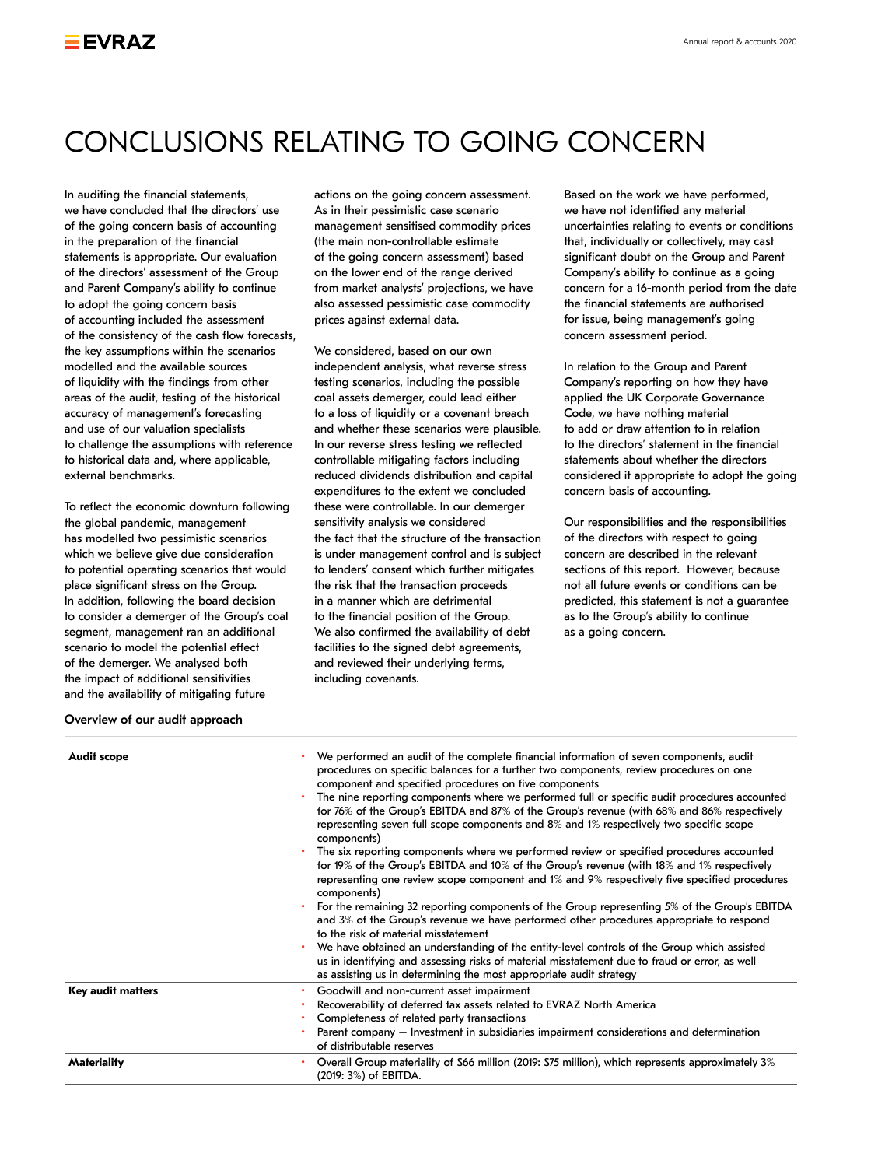# CONCLUSIONS RELATING TO GOING CONCERN

In auditing the financial statements, we have concluded that the directors' use of the going concern basis of accounting in the preparation of the financial statements is appropriate. Our evaluation of the directors' assessment of the Group and Parent Company's ability to continue to adopt the going concern basis of accounting included the assessment of the consistency of the cash flow forecasts, the key assumptions within the scenarios modelled and the available sources of liquidity with the findings from other areas of the audit, testing of the historical accuracy of management's forecasting and use of our valuation specialists to challenge the assumptions with reference to historical data and, where applicable, external benchmarks.

To reflect the economic downturn following the global pandemic, management has modelled two pessimistic scenarios which we believe give due consideration to potential operating scenarios that would place significant stress on the Group. In addition, following the board decision to consider a demerger of the Group's coal segment, management ran an additional scenario to model the potential effect of the demerger. We analysed both the impact of additional sensitivities and the availability of mitigating future

### actions on the going concern assessment. As in their pessimistic case scenario management sensitised commodity prices (the main non-controllable estimate of the going concern assessment) based on the lower end of the range derived from market analysts' projections, we have also assessed pessimistic case commodity prices against external data.

We considered, based on our own independent analysis, what reverse stress testing scenarios, including the possible coal assets demerger, could lead either to a loss of liquidity or a covenant breach and whether these scenarios were plausible. In our reverse stress testing we reflected controllable mitigating factors including reduced dividends distribution and capital expenditures to the extent we concluded these were controllable. In our demerger sensitivity analysis we considered the fact that the structure of the transaction is under management control and is subject to lenders' consent which further mitigates the risk that the transaction proceeds in a manner which are detrimental to the financial position of the Group. We also confirmed the availability of debt facilities to the signed debt agreements, and reviewed their underlying terms, including covenants.

Based on the work we have performed, we have not identified any material uncertainties relating to events or conditions that, individually or collectively, may cast significant doubt on the Group and Parent Company's ability to continue as a going concern for a 16-month period from the date the financial statements are authorised for issue, being management's going concern assessment period.

In relation to the Group and Parent Company's reporting on how they have applied the UK Corporate Governance Code, we have nothing material to add or draw attention to in relation to the directors' statement in the financial statements about whether the directors considered it appropriate to adopt the going concern basis of accounting.

Our responsibilities and the responsibilities of the directors with respect to going concern are described in the relevant sections of this report. However, because not all future events or conditions can be predicted, this statement is not a guarantee as to the Group's ability to continue as a going concern.

#### Overview of our audit approach

| <b>Audit scope</b> | We performed an audit of the complete financial information of seven components, audit<br>procedures on specific balances for a further two components, review procedures on one<br>component and specified procedures on five components<br>The nine reporting components where we performed full or specific audit procedures accounted<br>for 76% of the Group's EBITDA and 87% of the Group's revenue (with 68% and 86% respectively |
|--------------------|------------------------------------------------------------------------------------------------------------------------------------------------------------------------------------------------------------------------------------------------------------------------------------------------------------------------------------------------------------------------------------------------------------------------------------------|
|                    | representing seven full scope components and 8% and 1% respectively two specific scope<br>components)                                                                                                                                                                                                                                                                                                                                    |
|                    | The six reporting components where we performed review or specified procedures accounted<br>for 19% of the Group's EBITDA and 10% of the Group's revenue (with 18% and 1% respectively<br>representing one review scope component and 1% and 9% respectively five specified procedures<br>components)                                                                                                                                    |
|                    | For the remaining 32 reporting components of the Group representing 5% of the Group's EBITDA<br>and 3% of the Group's revenue we have performed other procedures appropriate to respond<br>to the risk of material misstatement                                                                                                                                                                                                          |
|                    | We have obtained an understanding of the entity-level controls of the Group which assisted<br>$\bullet$<br>us in identifying and assessing risks of material misstatement due to fraud or error, as well<br>as assisting us in determining the most appropriate audit strategy                                                                                                                                                           |
| Key audit matters  | Goodwill and non-current asset impairment<br>$\bullet$                                                                                                                                                                                                                                                                                                                                                                                   |
|                    | Recoverability of deferred tax assets related to EVRAZ North America                                                                                                                                                                                                                                                                                                                                                                     |
|                    | Completeness of related party transactions                                                                                                                                                                                                                                                                                                                                                                                               |
|                    | Parent company – Investment in subsidiaries impairment considerations and determination<br>of distributable reserves                                                                                                                                                                                                                                                                                                                     |
| Materiality        | Overall Group materiality of \$66 million (2019: \$75 million), which represents approximately 3%<br>(2019: 3%) of EBITDA.                                                                                                                                                                                                                                                                                                               |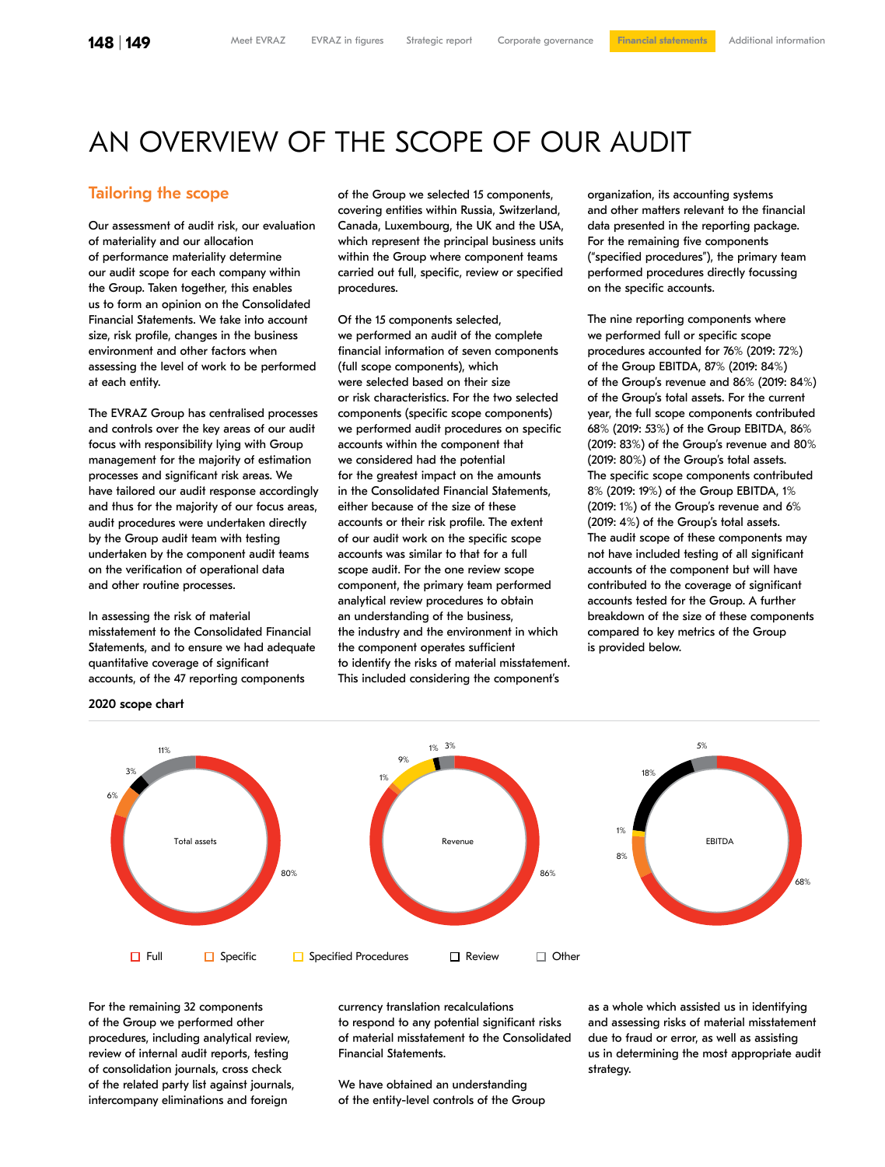### AN OVERVIEW OF THE SCOPE OF OUR AUDIT

### Tailoring the scope

Our assessment of audit risk, our evaluation of materiality and our allocation of performance materiality determine our audit scope for each company within the Group. Taken together, this enables us to form an opinion on the Consolidated Financial Statements. We take into account size, risk profile, changes in the business environment and other factors when assessing the level of work to be performed at each entity.

The EVRAZ Group has centralised processes and controls over the key areas of our audit focus with responsibility lying with Group management for the majority of estimation processes and significant risk areas. We have tailored our audit response accordingly and thus for the majority of our focus areas, audit procedures were undertaken directly by the Group audit team with testing undertaken by the component audit teams on the verification of operational data and other routine processes.

In assessing the risk of material misstatement to the Consolidated Financial Statements, and to ensure we had adequate quantitative coverage of significant accounts, of the 47 reporting components

of the Group we selected 15 components, covering entities within Russia, Switzerland, Canada, Luxembourg, the UK and the USA, which represent the principal business units within the Group where component teams carried out full, specific, review or specified procedures.

Of the 15 components selected, we performed an audit of the complete financial information of seven components (full scope components), which were selected based on their size or risk characteristics. For the two selected components (specific scope components) we performed audit procedures on specific accounts within the component that we considered had the potential for the greatest impact on the amounts in the Consolidated Financial Statements, either because of the size of these accounts or their risk profile. The extent of our audit work on the specific scope accounts was similar to that for a full scope audit. For the one review scope component, the primary team performed analytical review procedures to obtain an understanding of the business, the industry and the environment in which the component operates sufficient to identify the risks of material misstatement. This included considering the component's

organization, its accounting systems and other matters relevant to the financial data presented in the reporting package. For the remaining five components ("specified procedures"), the primary team performed procedures directly focussing on the specific accounts.

The nine reporting components where we performed full or specific scope procedures accounted for 76% (2019: 72%) of the Group EBITDA, 87% (2019: 84%) of the Group's revenue and 86% (2019: 84%) of the Group's total assets. For the current year, the full scope components contributed 68% (2019: 53%) of the Group EBITDA, 86% (2019: 83%) of the Group's revenue and 80% (2019: 80%) of the Group's total assets. The specific scope components contributed 8% (2019: 19%) of the Group EBITDA, 1% (2019: 1%) of the Group's revenue and 6% (2019: 4%) of the Group's total assets. The audit scope of these components may not have included testing of all significant accounts of the component but will have contributed to the coverage of significant accounts tested for the Group. A further breakdown of the size of these components compared to key metrics of the Group is provided below.



2020 scope chart

For the remaining 32 components of the Group we performed other procedures, including analytical review, review of internal audit reports, testing of consolidation journals, cross check of the related party list against journals, intercompany eliminations and foreign

currency translation recalculations to respond to any potential significant risks of material misstatement to the Consolidated Financial Statements.

We have obtained an understanding of the entity-level controls of the Group as a whole which assisted us in identifying and assessing risks of material misstatement due to fraud or error, as well as assisting us in determining the most appropriate audit strategy.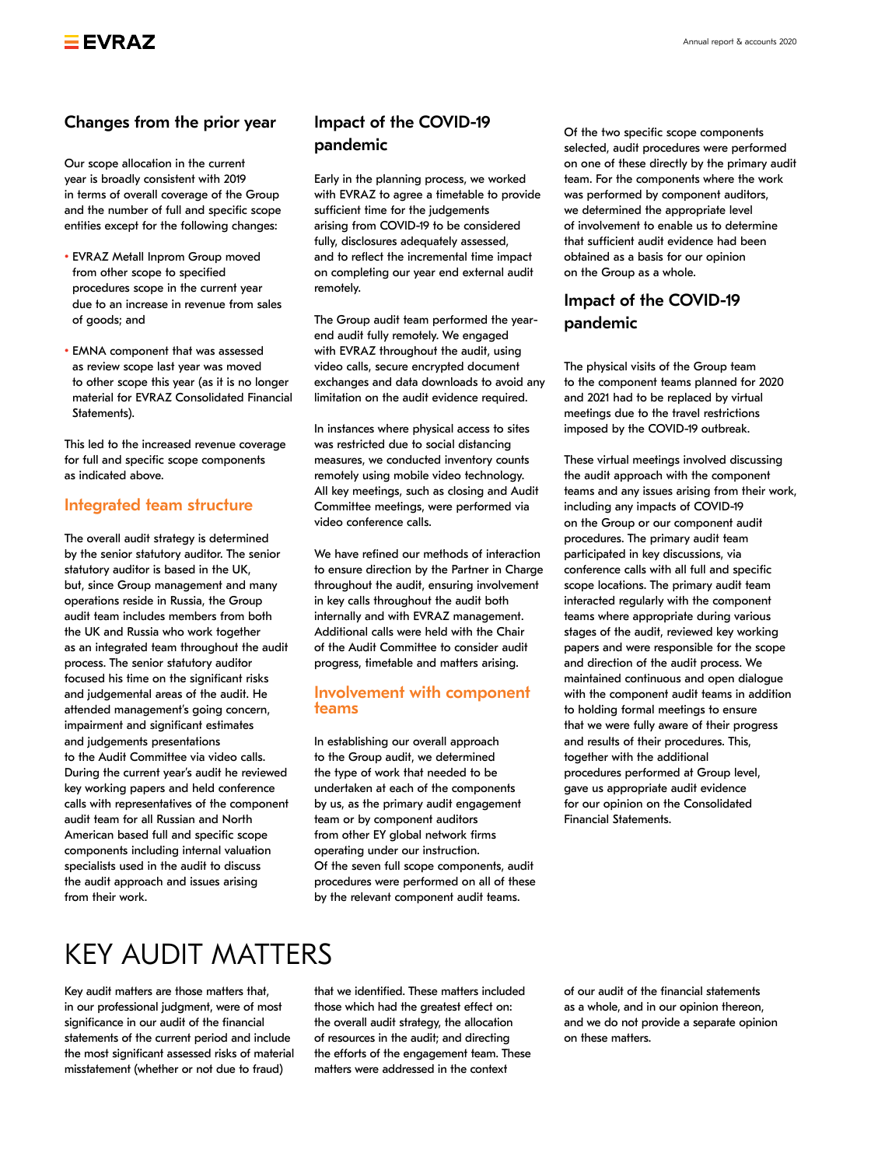

### Changes from the prior year

Our scope allocation in the current year is broadly consistent with 2019 in terms of overall coverage of the Group and the number of full and specific scope entities except for the following changes:

- **•** EVRAZ Metall Inprom Group moved from other scope to specified procedures scope in the current year due to an increase in revenue from sales of goods; and
- **•** EMNA component that was assessed as review scope last year was moved to other scope this year (as it is no longer material for EVRAZ Consolidated Financial Statements).

This led to the increased revenue coverage for full and specific scope components as indicated above.

### Integrated team structure

The overall audit strategy is determined by the senior statutory auditor. The senior statutory auditor is based in the UK, but, since Group management and many operations reside in Russia, the Group audit team includes members from both the UK and Russia who work together as an integrated team throughout the audit process. The senior statutory auditor focused his time on the significant risks and judgemental areas of the audit. He attended management's going concern, impairment and significant estimates and judgements presentations to the Audit Committee via video calls. During the current year's audit he reviewed key working papers and held conference calls with representatives of the component audit team for all Russian and North American based full and specific scope components including internal valuation specialists used in the audit to discuss the audit approach and issues arising from their work.

### Impact of the COVID-19 pandemic

Early in the planning process, we worked with EVRAZ to agree a timetable to provide sufficient time for the judgements arising from COVID-19 to be considered fully, disclosures adequately assessed, and to reflect the incremental time impact on completing our year end external audit remotely.

The Group audit team performed the yearend audit fully remotely. We engaged with EVRAZ throughout the audit, using video calls, secure encrypted document exchanges and data downloads to avoid any limitation on the audit evidence required.

In instances where physical access to sites was restricted due to social distancing measures, we conducted inventory counts remotely using mobile video technology. All key meetings, such as closing and Audit Committee meetings, were performed via video conference calls.

We have refined our methods of interaction to ensure direction by the Partner in Charge throughout the audit, ensuring involvement in key calls throughout the audit both internally and with EVRAZ management. Additional calls were held with the Chair of the Audit Committee to consider audit progress, timetable and matters arising.

### Involvement with component teams

In establishing our overall approach to the Group audit, we determined the type of work that needed to be undertaken at each of the components by us, as the primary audit engagement team or by component auditors from other EY global network firms operating under our instruction. Of the seven full scope components, audit procedures were performed on all of these by the relevant component audit teams.

Of the two specific scope components selected, audit procedures were performed on one of these directly by the primary audit team. For the components where the work was performed by component auditors, we determined the appropriate level of involvement to enable us to determine that sufficient audit evidence had been obtained as a basis for our opinion on the Group as a whole.

### Impact of the COVID-19 pandemic

The physical visits of the Group team to the component teams planned for 2020 and 2021 had to be replaced by virtual meetings due to the travel restrictions imposed by the COVID-19 outbreak.

These virtual meetings involved discussing the audit approach with the component teams and any issues arising from their work, including any impacts of COVID-19 on the Group or our component audit procedures. The primary audit team participated in key discussions, via conference calls with all full and specific scope locations. The primary audit team interacted regularly with the component teams where appropriate during various stages of the audit, reviewed key working papers and were responsible for the scope and direction of the audit process. We maintained continuous and open dialogue with the component audit teams in addition to holding formal meetings to ensure that we were fully aware of their progress and results of their procedures. This, together with the additional procedures performed at Group level, gave us appropriate audit evidence for our opinion on the Consolidated Financial Statements.

### KEY AUDIT MATTERS

Key audit matters are those matters that, in our professional judgment, were of most significance in our audit of the financial statements of the current period and include the most significant assessed risks of material misstatement (whether or not due to fraud)

that we identified. These matters included those which had the greatest effect on: the overall audit strategy, the allocation of resources in the audit; and directing the efforts of the engagement team. These matters were addressed in the context

of our audit of the financial statements as a whole, and in our opinion thereon, and we do not provide a separate opinion on these matters.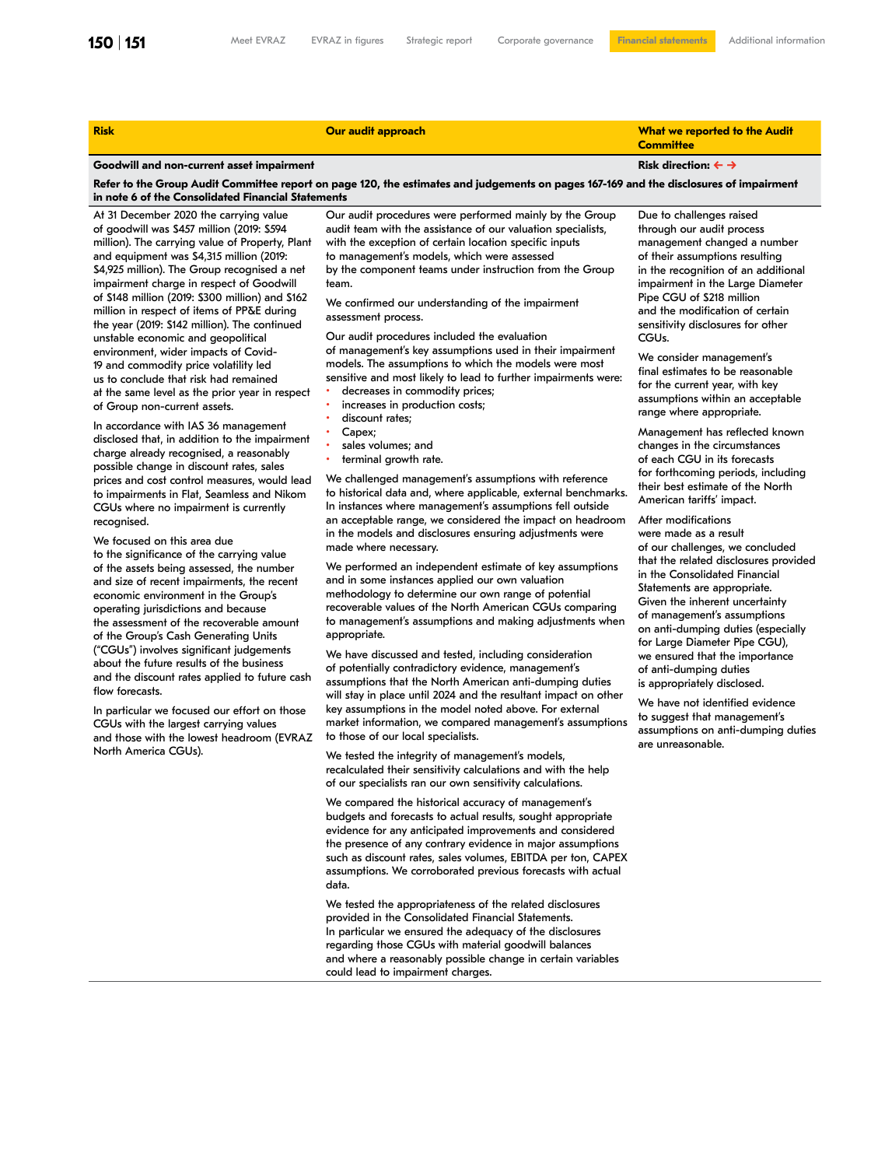| <b>Risk</b>                                                                                                                                                                                                                                                                                                                 | Our audit approach                                                                                                                                                                                                                                                                                   | What we reported to the Audit<br><b>Committee</b>                                                                                                                                                 |
|-----------------------------------------------------------------------------------------------------------------------------------------------------------------------------------------------------------------------------------------------------------------------------------------------------------------------------|------------------------------------------------------------------------------------------------------------------------------------------------------------------------------------------------------------------------------------------------------------------------------------------------------|---------------------------------------------------------------------------------------------------------------------------------------------------------------------------------------------------|
| Goodwill and non-current asset impairment                                                                                                                                                                                                                                                                                   |                                                                                                                                                                                                                                                                                                      | Risk direction: $\leftarrow \rightarrow$                                                                                                                                                          |
| in note 6 of the Consolidated Financial Statements                                                                                                                                                                                                                                                                          | Refer to the Group Audit Committee report on page 120, the estimates and judgements on pages 167-169 and the disclosures of impairment                                                                                                                                                               |                                                                                                                                                                                                   |
| At 31 December 2020 the carrying value<br>of goodwill was \$457 million (2019: \$594<br>million). The carrying value of Property, Plant<br>and equipment was \$4,315 million (2019:<br>\$4,925 million). The Group recognised a net<br>impairment charge in respect of Goodwill<br>متنفا النائب محمد منموا النامية المنافرة | Our audit procedures were performed mainly by the Group<br>audit team with the assistance of our valuation specialists.<br>with the exception of certain location specific inputs<br>to management's models, which were assessed<br>by the component teams under instruction from the Group<br>team. | Due to challenges raised<br>through our audit process<br>management changed a number<br>of their assumptions resulting<br>in the recognition of an additional<br>impairment in the Large Diameter |

We confirmed our understanding of the impairment assessment process.

Our audit procedures included the evaluation of management's key assumptions used in their impairment models. The assumptions to which the models were most sensitive and most likely to lead to further impairments were:

- decreases in commodity prices;
- increases in production costs;
- discount rates;
- Capex:
- sales volumes; and
- terminal growth rate.

We challenged management's assumptions with reference to historical data and, where applicable, external benchmarks. In instances where management's assumptions fell outside an acceptable range, we considered the impact on headroom in the models and disclosures ensuring adjustments were made where necessary.

We performed an independent estimate of key assumptions and in some instances applied our own valuation methodology to determine our own range of potential recoverable values of the North American CGUs comparing to management's assumptions and making adjustments when appropriate.

We have discussed and tested, including consideration of potentially contradictory evidence, management's assumptions that the North American anti-dumping duties will stay in place until 2024 and the resultant impact on other key assumptions in the model noted above. For external market information, we compared management's assumptions to those of our local specialists.

We tested the integrity of management's models, recalculated their sensitivity calculations and with the help of our specialists ran our own sensitivity calculations.

We compared the historical accuracy of management's budgets and forecasts to actual results, sought appropriate evidence for any anticipated improvements and considered the presence of any contrary evidence in major assumptions such as discount rates, sales volumes, EBITDA per ton, CAPEX assumptions. We corroborated previous forecasts with actual data.

We tested the appropriateness of the related disclosures provided in the Consolidated Financial Statements. In particular we ensured the adequacy of the disclosures regarding those CGUs with material goodwill balances and where a reasonably possible change in certain variables could lead to impairment charges.

in the recognition of an additional impairment in the Large Diameter Pipe CGU of \$218 million and the modification of certain sensitivity disclosures for other CGUs.

We consider management's final estimates to be reasonable for the current year, with key assumptions within an acceptable range where appropriate.

Management has reflected known changes in the circumstances of each CGU in its forecasts for forthcoming periods, including their best estimate of the North American tariffs' impact.

After modifications were made as a result of our challenges, we concluded that the related disclosures provided in the Consolidated Financial Statements are appropriate. Given the inherent uncertainty of management's assumptions on anti-dumping duties (especially for Large Diameter Pipe CGU). we ensured that the importance of anti-dumping duties is appropriately disclosed.

We have not identified evidence to suggest that management's assumptions on anti-dumping duties are unreasonable.

#### million). The carrying value of Property, Plant and equipment was \$4,315 million (2019: \$4,925 million). The Group recognised a net impairment charge in respect of Goodwill of \$148 million (2019: \$300 million) and \$162 million in respect of items of PP&E during the year (2019: \$142 million). The continued unstable economic and geopolitical environment, wider impacts of Covid-19 and commodity price volatility led us to conclude that risk had remained

at the same level as the prior year in respect of Group non-current assets. In accordance with IAS 36 management disclosed that, in addition to the impairment

charge already recognised, a reasonably possible change in discount rates, sales prices and cost control measures, would lead to impairments in Flat, Seamless and Nikom CGUs where no impairment is currently recognised.

We focused on this area due to the significance of the carrying value of the assets being assessed, the number and size of recent impairments, the recent economic environment in the Group's operating jurisdictions and because the assessment of the recoverable amount of the Group's Cash Generating Units ("CGUs") involves significant judgements about the future results of the business and the discount rates applied to future cash flow forecasts.

In particular we focused our effort on those CGUs with the largest carrying values and those with the lowest headroom (EVRAZ North America CGUs).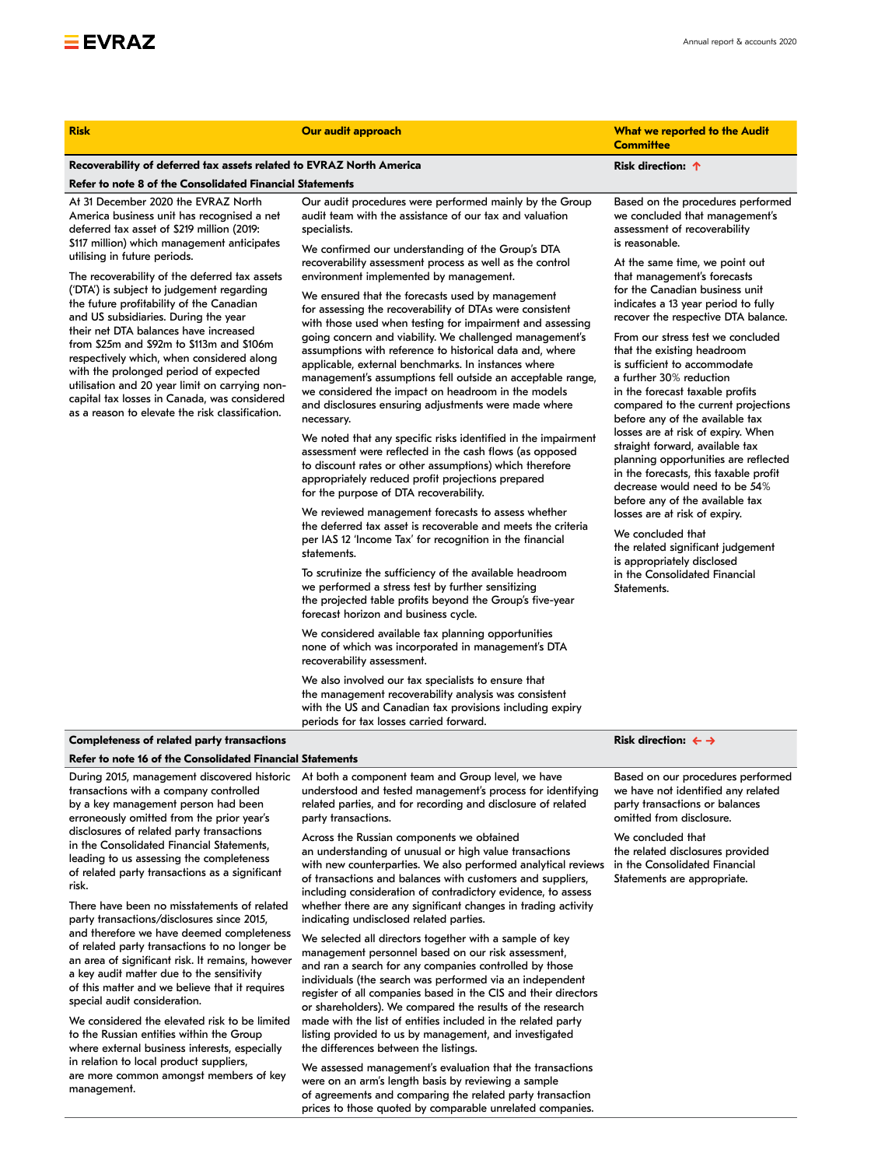### $EIVRAZ$

| <b>Risk</b>                                                                                                                                                                                                                                                                                                                                                                                                                                                                                                                                                                                                                                                                                                                       | <b>Our audit approach</b>                                                                                                                                                                                                                                                                                                                                                                                                                                                                                                                                                                                                                                                                                                                                                                                                                                                                                                                                                                                                                                                                                                                                                                                                                                                                                                                                                                                                                                                                                                                                                                                                                                                                                                                                                                                                                                                                                                      | What we reported to the Audit<br><b>Committee</b>                                                                                                                                                                                                                                                                                                                                                                                                                                                                                                                                                                                                                                                                                                                                                                                                                                                                                                        |
|-----------------------------------------------------------------------------------------------------------------------------------------------------------------------------------------------------------------------------------------------------------------------------------------------------------------------------------------------------------------------------------------------------------------------------------------------------------------------------------------------------------------------------------------------------------------------------------------------------------------------------------------------------------------------------------------------------------------------------------|--------------------------------------------------------------------------------------------------------------------------------------------------------------------------------------------------------------------------------------------------------------------------------------------------------------------------------------------------------------------------------------------------------------------------------------------------------------------------------------------------------------------------------------------------------------------------------------------------------------------------------------------------------------------------------------------------------------------------------------------------------------------------------------------------------------------------------------------------------------------------------------------------------------------------------------------------------------------------------------------------------------------------------------------------------------------------------------------------------------------------------------------------------------------------------------------------------------------------------------------------------------------------------------------------------------------------------------------------------------------------------------------------------------------------------------------------------------------------------------------------------------------------------------------------------------------------------------------------------------------------------------------------------------------------------------------------------------------------------------------------------------------------------------------------------------------------------------------------------------------------------------------------------------------------------|----------------------------------------------------------------------------------------------------------------------------------------------------------------------------------------------------------------------------------------------------------------------------------------------------------------------------------------------------------------------------------------------------------------------------------------------------------------------------------------------------------------------------------------------------------------------------------------------------------------------------------------------------------------------------------------------------------------------------------------------------------------------------------------------------------------------------------------------------------------------------------------------------------------------------------------------------------|
| Recoverability of deferred tax assets related to EVRAZ North America                                                                                                                                                                                                                                                                                                                                                                                                                                                                                                                                                                                                                                                              | Risk direction: 1                                                                                                                                                                                                                                                                                                                                                                                                                                                                                                                                                                                                                                                                                                                                                                                                                                                                                                                                                                                                                                                                                                                                                                                                                                                                                                                                                                                                                                                                                                                                                                                                                                                                                                                                                                                                                                                                                                              |                                                                                                                                                                                                                                                                                                                                                                                                                                                                                                                                                                                                                                                                                                                                                                                                                                                                                                                                                          |
| Refer to note 8 of the Consolidated Financial Statements                                                                                                                                                                                                                                                                                                                                                                                                                                                                                                                                                                                                                                                                          |                                                                                                                                                                                                                                                                                                                                                                                                                                                                                                                                                                                                                                                                                                                                                                                                                                                                                                                                                                                                                                                                                                                                                                                                                                                                                                                                                                                                                                                                                                                                                                                                                                                                                                                                                                                                                                                                                                                                |                                                                                                                                                                                                                                                                                                                                                                                                                                                                                                                                                                                                                                                                                                                                                                                                                                                                                                                                                          |
| At 31 December 2020 the EVRAZ North<br>America business unit has recognised a net<br>deferred tax asset of \$219 million (2019:<br>\$117 million) which management anticipates<br>utilising in future periods.<br>The recoverability of the deferred tax assets<br>('DTA') is subject to judgement regarding<br>the future profitability of the Canadian<br>and US subsidiaries. During the year<br>their net DTA balances have increased<br>from \$25m and \$92m to \$113m and \$106m<br>respectively which, when considered along<br>with the prolonged period of expected<br>utilisation and 20 year limit on carrying non-<br>capital tax losses in Canada, was considered<br>as a reason to elevate the risk classification. | Our audit procedures were performed mainly by the Group<br>audit team with the assistance of our tax and valuation<br>specialists.<br>We confirmed our understanding of the Group's DTA<br>recoverability assessment process as well as the control<br>environment implemented by management.<br>We ensured that the forecasts used by management<br>for assessing the recoverability of DTAs were consistent<br>with those used when testing for impairment and assessing<br>going concern and viability. We challenged management's<br>assumptions with reference to historical data and, where<br>applicable, external benchmarks. In instances where<br>management's assumptions fell outside an acceptable range,<br>we considered the impact on headroom in the models<br>and disclosures ensuring adjustments were made where<br>necessary.<br>We noted that any specific risks identified in the impairment<br>assessment were reflected in the cash flows (as opposed<br>to discount rates or other assumptions) which therefore<br>appropriately reduced profit projections prepared<br>for the purpose of DTA recoverability.<br>We reviewed management forecasts to assess whether<br>the deferred tax asset is recoverable and meets the criteria<br>per IAS 12 'Income Tax' for recognition in the financial<br>statements.<br>To scrutinize the sufficiency of the available headroom<br>we performed a stress test by further sensitizing<br>the projected table profits beyond the Group's five-year<br>forecast horizon and business cycle.<br>We considered available fax planning opportunities<br>none of which was incorporated in management's DTA<br>recoverability assessment.<br>We also involved our fax specialists to ensure that<br>the management recoverability analysis was consistent<br>with the US and Canadian tax provisions including expiry<br>periods for tax losses carried forward. | Based on the procedures performed<br>we concluded that management's<br>assessment of recoverability<br>is reasonable.<br>At the same time, we point out<br>that management's forecasts<br>for the Canadian business unit<br>indicates a 13 year period to fully<br>recover the respective DTA balance.<br>From our stress test we concluded<br>that the existing headroom<br>is sufficient to accommodate<br>a further 30% reduction<br>in the forecast taxable profits<br>compared to the current projections<br>before any of the available tax<br>losses are at risk of expiry. When<br>straight forward, available tax<br>planning opportunities are reflected<br>in the forecasts, this taxable profit<br>decrease would need to be 54%<br>before any of the available tax<br>losses are at risk of expiry.<br>We concluded that<br>the related significant judgement<br>is appropriately disclosed<br>in the Consolidated Financial<br>Statements. |
| <b>Completeness of related party transactions</b>                                                                                                                                                                                                                                                                                                                                                                                                                                                                                                                                                                                                                                                                                 |                                                                                                                                                                                                                                                                                                                                                                                                                                                                                                                                                                                                                                                                                                                                                                                                                                                                                                                                                                                                                                                                                                                                                                                                                                                                                                                                                                                                                                                                                                                                                                                                                                                                                                                                                                                                                                                                                                                                | Risk direction: $\leftarrow \rightarrow$                                                                                                                                                                                                                                                                                                                                                                                                                                                                                                                                                                                                                                                                                                                                                                                                                                                                                                                 |
| Refer to note 16 of the Consolidated Financial Statements                                                                                                                                                                                                                                                                                                                                                                                                                                                                                                                                                                                                                                                                         |                                                                                                                                                                                                                                                                                                                                                                                                                                                                                                                                                                                                                                                                                                                                                                                                                                                                                                                                                                                                                                                                                                                                                                                                                                                                                                                                                                                                                                                                                                                                                                                                                                                                                                                                                                                                                                                                                                                                |                                                                                                                                                                                                                                                                                                                                                                                                                                                                                                                                                                                                                                                                                                                                                                                                                                                                                                                                                          |

During 2015, management discovered historic transactions with a company controlled by a key management person had been erroneously omitted from the prior year's disclosures of related party transactions in the Consolidated Financial Statements, leading to us assessing the completeness of related party transactions as a significant risk.

There have been no misstatements of related party transactions/disclosures since 2015, and therefore we have deemed completeness of related party transactions to no longer be an area of significant risk. It remains, however a key audit matter due to the sensitivity of this matter and we believe that it requires special audit consideration.

We considered the elevated risk to be limited to the Russian entities within the Group where external business interests, especially in relation to local product suppliers, are more common amongst members of key management.

At both a component team and Group level, we have understood and tested management's process for identifying related parties, and for recording and disclosure of related party transactions.

Across the Russian components we obtained an understanding of unusual or high value transactions with new counterparties. We also performed analytical reviews of transactions and balances with customers and suppliers, including consideration of contradictory evidence, to assess whether there are any significant changes in trading activity indicating undisclosed related parties.

We selected all directors together with a sample of key management personnel based on our risk assessment, and ran a search for any companies controlled by those individuals (the search was performed via an independent register of all companies based in the CIS and their directors or shareholders). We compared the results of the research made with the list of entities included in the related party listing provided to us by management, and investigated the differences between the listings.

We assessed management's evaluation that the transactions were on an arm's length basis by reviewing a sample of agreements and comparing the related party transaction prices to those quoted by comparable unrelated companies.

Based on our procedures performed we have not identified any related party transactions or balances omitted from disclosure.

We concluded that the related disclosures provided in the Consolidated Financial Statements are appropriate.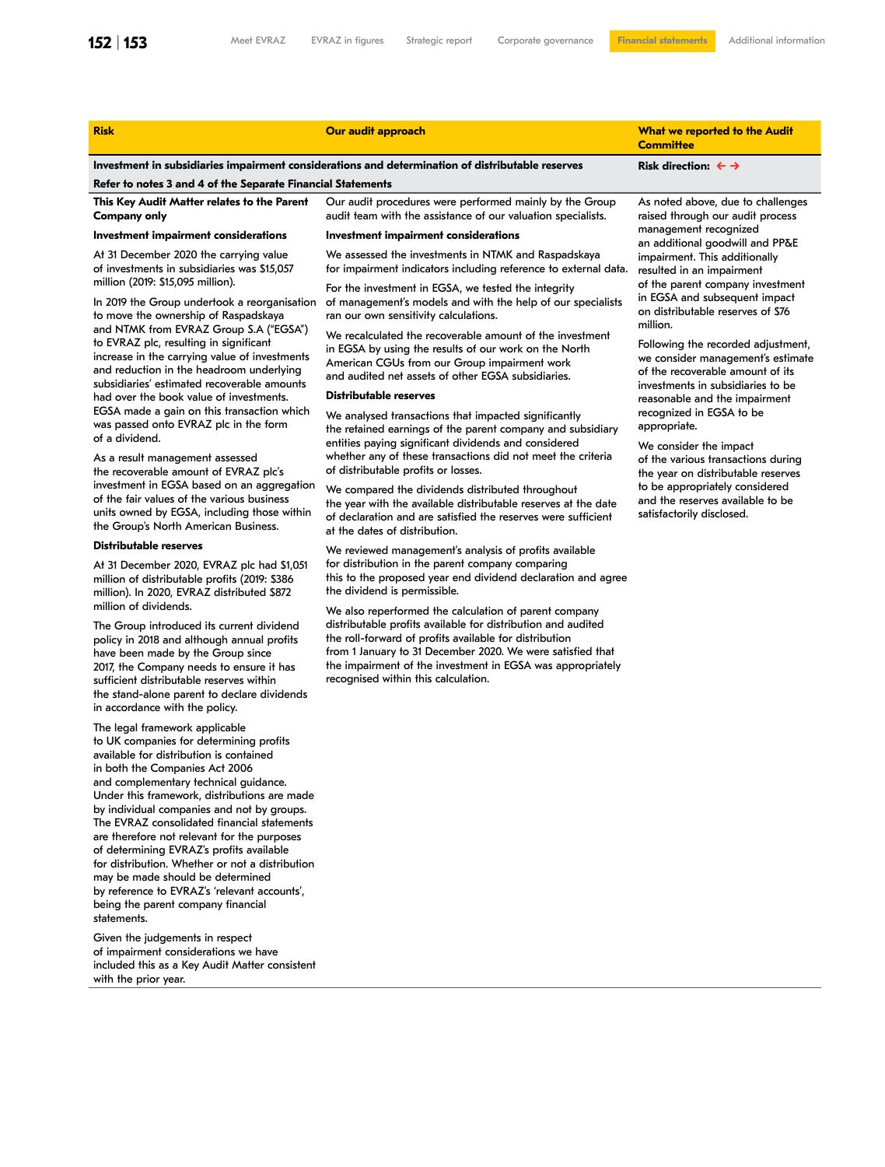**Committee**

#### **Risk Our audit approach What we reported to the Audit**

### **Investment in subsidiaries impairment considerations and determination of distributable reserves Risk direction: ← →**

#### **Refer to notes 3 and 4 of the Separate Financial Statements**

**This Key Audit Matter relates to the Parent Company only**

#### **Investment impairment considerations**

At 31 December 2020 the carrying value of investments in subsidiaries was \$15,057 million (2019: \$15,095 million).

In 2019 the Group undertook a reorganisation to move the ownership of Raspadskaya and NTMK from EVRAZ Group S.A ("EGSA") to EVRAZ plc, resulting in significant increase in the carrying value of investments and reduction in the headroom underlying subsidiaries' estimated recoverable amounts had over the book value of investments. EGSA made a gain on this transaction which was passed onto EVRAZ plc in the form of a dividend.

As a result management assessed the recoverable amount of EVRAZ plc's investment in EGSA based on an aggregation of the fair values of the various business units owned by EGSA, including those within the Group's North American Business.

#### **Distributable reserves**

At 31 December 2020, EVRAZ plc had \$1,051 million of distributable profits (2019: \$386 million). In 2020, EVRAZ distributed \$872 million of dividends.

The Group introduced its current dividend policy in 2018 and although annual profits have been made by the Group since 2017, the Company needs to ensure it has sufficient distributable reserves within the stand-alone parent to declare dividends in accordance with the policy.

The legal framework applicable to UK companies for determining profits available for distribution is contained in both the Companies Act 2006 and complementary technical guidance. Under this framework, distributions are made by individual companies and not by groups. The EVRAZ consolidated financial statements are therefore not relevant for the purposes of determining EVRAZ's profits available for distribution. Whether or not a distribution may be made should be determined by reference to EVRAZ's 'relevant accounts', being the parent company financial statements.

Given the judgements in respect of impairment considerations we have included this as a Key Audit Matter consistent with the prior year.

Our audit procedures were performed mainly by the Group audit team with the assistance of our valuation specialists.

#### **Investment impairment considerations**

We assessed the investments in NTMK and Raspadskaya for impairment indicators including reference to external data.

For the investment in EGSA, we tested the integrity of management's models and with the help of our specialists ran our own sensitivity calculations.

We recalculated the recoverable amount of the investment in EGSA by using the results of our work on the North American CGUs from our Group impairment work and audited net assets of other EGSA subsidiaries.

#### **Distributable reserves**

We analysed transactions that impacted significantly the retained earnings of the parent company and subsidiary entities paying significant dividends and considered whether any of these transactions did not meet the criteria of distributable profits or losses.

We compared the dividends distributed throughout the year with the available distributable reserves at the date of declaration and are satisfied the reserves were sufficient at the dates of distribution.

We reviewed management's analysis of profits available for distribution in the parent company comparing this to the proposed year end dividend declaration and agree the dividend is permissible.

We also reperformed the calculation of parent company distributable profits available for distribution and audited the roll-forward of profits available for distribution from 1 January to 31 December 2020. We were satisfied that the impairment of the investment in EGSA was appropriately recognised within this calculation.

As noted above, due to challenges raised through our audit process management recognized an additional goodwill and PP&E impairment. This additionally resulted in an impairment of the parent company investment in EGSA and subsequent impact on distributable reserves of \$76 million.

Following the recorded adjustment, we consider management's estimate of the recoverable amount of its investments in subsidiaries to be reasonable and the impairment recognized in EGSA to be appropriate.

We consider the impact of the various transactions during the year on distributable reserves to be appropriately considered and the reserves available to be satisfactorily disclosed.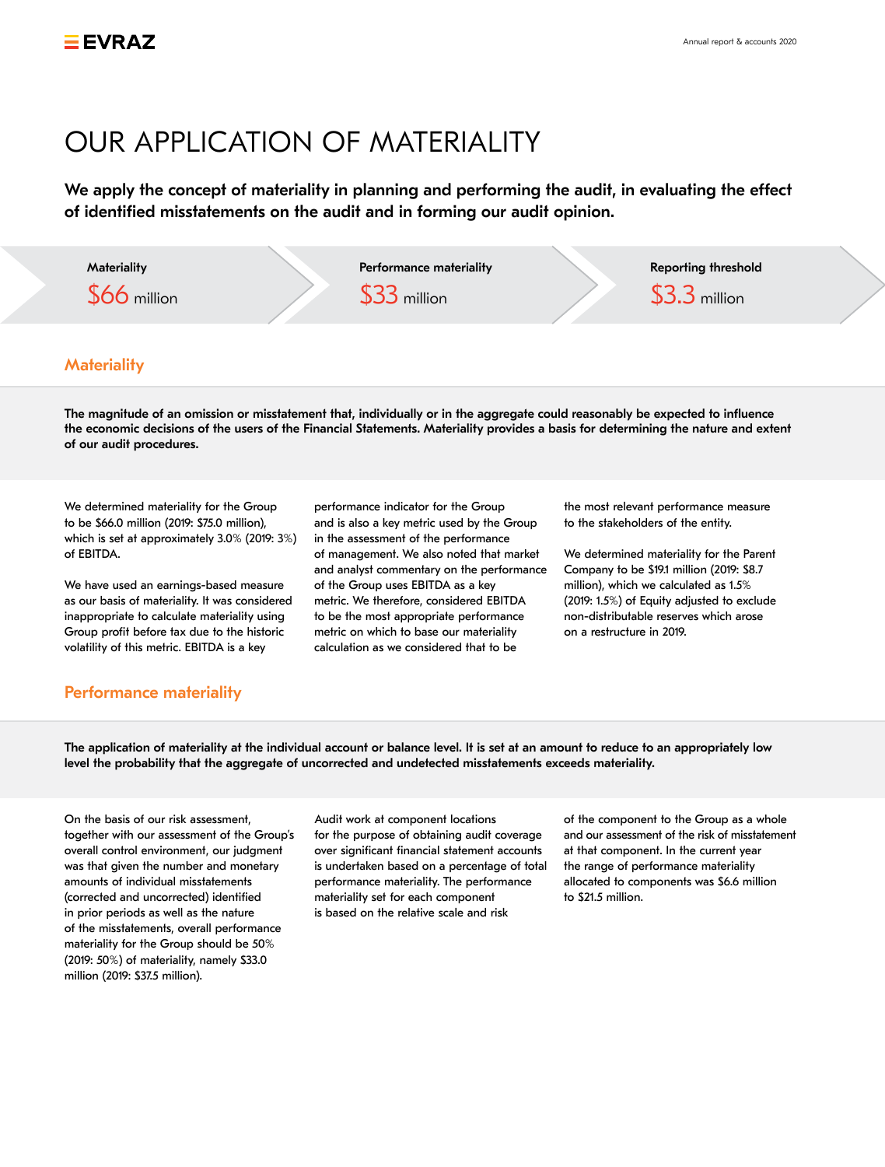# OUR APPLICATION OF MATERIALITY

We apply the concept of materiality in planning and performing the audit, in evaluating the effect of identified misstatements on the audit and in forming our audit opinion.



### **Materiality**

The magnitude of an omission or misstatement that, individually or in the aggregate could reasonably be expected to influence the economic decisions of the users of the Financial Statements. Materiality provides a basis for determining the nature and extent of our audit procedures.

We determined materiality for the Group to be \$66.0 million (2019: \$75.0 million), which is set at approximately 3.0% (2019: 3%) of EBITDA.

We have used an earnings-based measure as our basis of materiality. It was considered inappropriate to calculate materiality using Group profit before tax due to the historic volatility of this metric. EBITDA is a key

performance indicator for the Group and is also a key metric used by the Group in the assessment of the performance of management. We also noted that market and analyst commentary on the performance of the Group uses EBITDA as a key metric. We therefore, considered EBITDA to be the most appropriate performance metric on which to base our materiality calculation as we considered that to be

the most relevant performance measure to the stakeholders of the entity.

We determined materiality for the Parent Company to be \$19.1 million (2019: \$8.7 million), which we calculated as 1.5% (2019: 1.5%) of Equity adjusted to exclude non-distributable reserves which arose on a restructure in 2019.

### Performance materiality

The application of materiality at the individual account or balance level. It is set at an amount to reduce to an appropriately low level the probability that the aggregate of uncorrected and undetected misstatements exceeds materiality.

On the basis of our risk assessment, together with our assessment of the Group's overall control environment, our judgment was that given the number and monetary amounts of individual misstatements (corrected and uncorrected) identified in prior periods as well as the nature of the misstatements, overall performance materiality for the Group should be 50% (2019: 50%) of materiality, namely \$33.0 million (2019: \$37.5 million).

Audit work at component locations for the purpose of obtaining audit coverage over significant financial statement accounts is undertaken based on a percentage of total performance materiality. The performance materiality set for each component is based on the relative scale and risk

of the component to the Group as a whole and our assessment of the risk of misstatement at that component. In the current year the range of performance materiality allocated to components was \$6.6 million to \$21.5 million.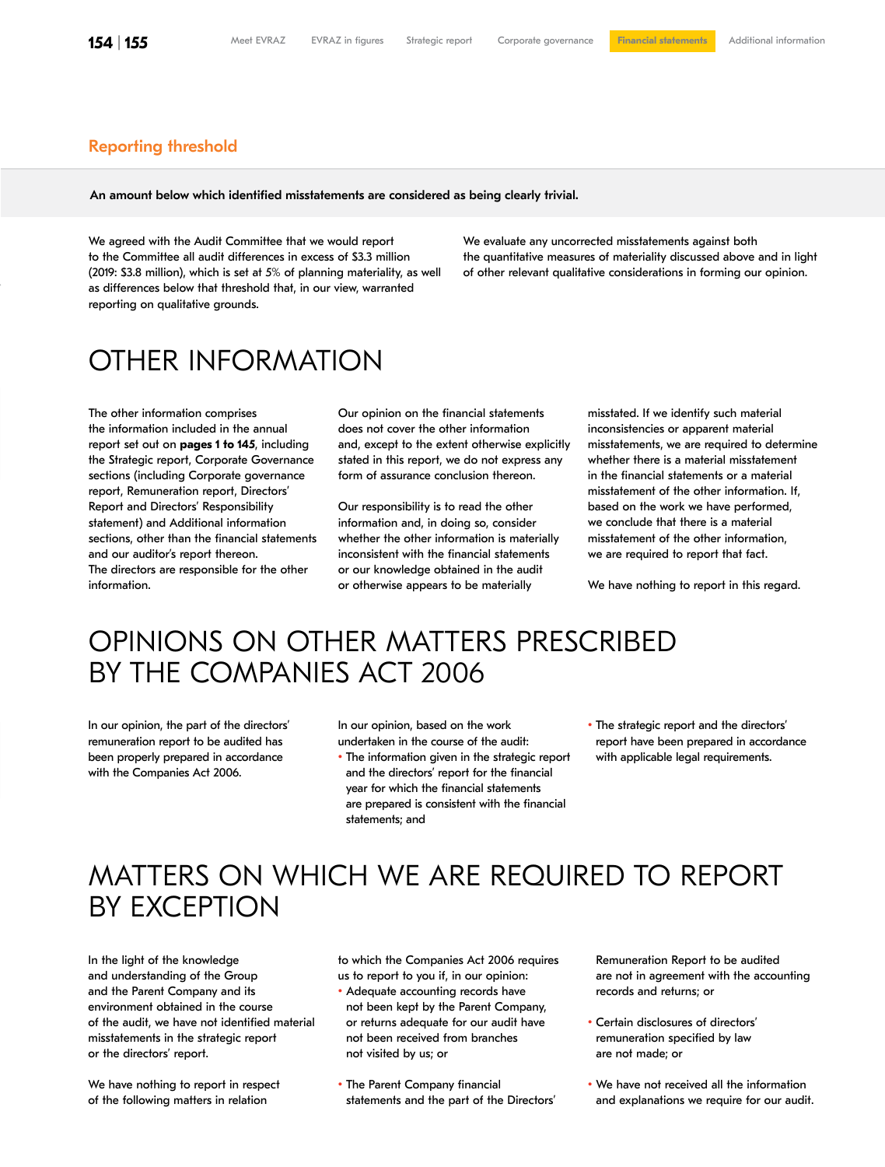### Reporting threshold

An amount below which identified misstatements are considered as being clearly trivial.

We agreed with the Audit Committee that we would report to the Committee all audit differences in excess of \$3.3 million (2019: \$3.8 million), which is set at 5% of planning materiality, as well as differences below that threshold that, in our view, warranted reporting on qualitative grounds.

We evaluate any uncorrected misstatements against both the quantitative measures of materiality discussed above and in light of other relevant qualitative considerations in forming our opinion.

# OTHER INFORMATION

The other information comprises the information included in the annual report set out on **[pages 1 to 145](#page--1-0)**, including the Strategic report, Corporate Governance sections (including Corporate governance report, Remuneration report, Directors' Report and Directors' Responsibility statement) and Additional information sections, other than the financial statements and our auditor's report thereon. The directors are responsible for the other information.

Our opinion on the financial statements does not cover the other information and, except to the extent otherwise explicitly stated in this report, we do not express any form of assurance conclusion thereon.

Our responsibility is to read the other information and, in doing so, consider whether the other information is materially inconsistent with the financial statements or our knowledge obtained in the audit or otherwise appears to be materially

misstated. If we identify such material inconsistencies or apparent material misstatements, we are required to determine whether there is a material misstatement in the financial statements or a material misstatement of the other information. If, based on the work we have performed, we conclude that there is a material misstatement of the other information, we are required to report that fact.

We have nothing to report in this regard.

# OPINIONS ON OTHER MATTERS PRESCRIBED BY THE COMPANIES ACT 2006

In our opinion, the part of the directors' remuneration report to be audited has been properly prepared in accordance with the Companies Act 2006.

In our opinion, based on the work undertaken in the course of the audit:

- **•** The information given in the strategic report and the directors' report for the financial year for which the financial statements are prepared is consistent with the financial statements; and
- **•** The strategic report and the directors' report have been prepared in accordance with applicable legal requirements.

# MATTERS ON WHICH WE ARE REQUIRED TO REPORT BY EXCEPTION

In the light of the knowledge and understanding of the Group and the Parent Company and its environment obtained in the course of the audit, we have not identified material misstatements in the strategic report or the directors' report.

We have nothing to report in respect of the following matters in relation

to which the Companies Act 2006 requires us to report to you if, in our opinion:

- **•** Adequate accounting records have not been kept by the Parent Company, or returns adequate for our audit have not been received from branches not visited by us; or
- **•** The Parent Company financial statements and the part of the Directors'

Remuneration Report to be audited are not in agreement with the accounting records and returns; or

- **•** Certain disclosures of directors' remuneration specified by law are not made; or
- **•** We have not received all the information and explanations we require for our audit.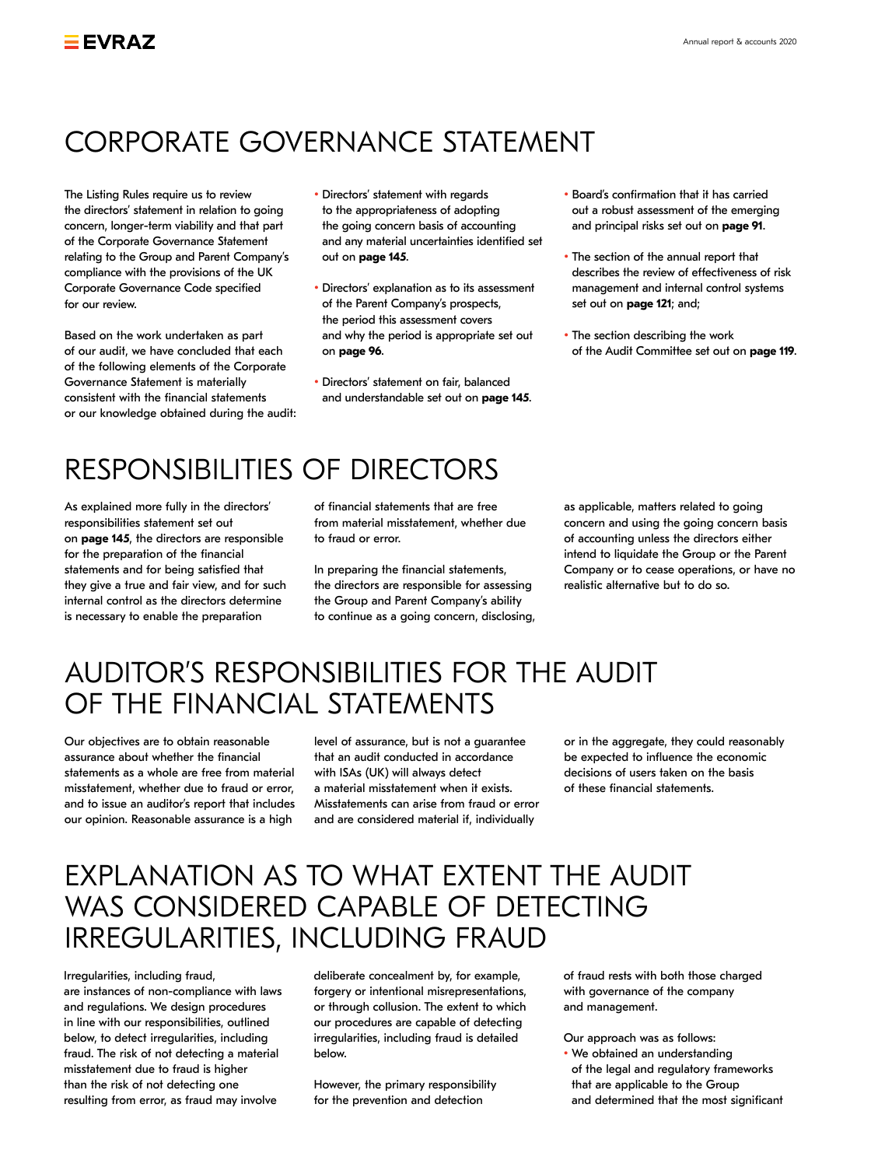### $EIVRAZ$

# CORPORATE GOVERNANCE STATEMENT

The Listing Rules require us to review the directors' statement in relation to going concern, longer-term viability and that part of the Corporate Governance Statement relating to the Group and Parent Company's compliance with the provisions of the UK Corporate Governance Code specified for our review.

Based on the work undertaken as part of our audit, we have concluded that each of the following elements of the Corporate Governance Statement is materially consistent with the financial statements or our knowledge obtained during the audit:

- **•** Directors' statement with regards to the appropriateness of adopting the going concern basis of accounting and any material uncertainties identified set out on **[page 145](#page--1-0)**.
- **•** Directors' explanation as to its assessment of the Parent Company's prospects, the period this assessment covers and why the period is appropriate set out on **[page 96](#page--1-0)**.
- **•** Directors' statement on fair, balanced and understandable set out on **[page 145](#page--1-0)**.
- **•** Board's confirmation that it has carried out a robust assessment of the emerging and principal risks set out on **[page 91](#page--1-0)**.
- **•** The section of the annual report that describes the review of effectiveness of risk management and internal control systems set out on **[page 121](#page--1-0)**; and;
- **•** The section describing the work of the Audit Committee set out on **[page 119](#page--1-0)**.

# RESPONSIBILITIES OF DIRECTORS

As explained more fully in the directors' responsibilities statement set out on **[page 145](#page--1-0)**, the directors are responsible for the preparation of the financial statements and for being satisfied that they give a true and fair view, and for such internal control as the directors determine is necessary to enable the preparation

of financial statements that are free from material misstatement, whether due to fraud or error.

In preparing the financial statements, the directors are responsible for assessing the Group and Parent Company's ability to continue as a going concern, disclosing,

as applicable, matters related to going concern and using the going concern basis of accounting unless the directors either intend to liquidate the Group or the Parent Company or to cease operations, or have no realistic alternative but to do so.

# AUDITOR'S RESPONSIBILITIES FOR THE AUDIT OF THE FINANCIAL STATEMENTS

Our objectives are to obtain reasonable assurance about whether the financial statements as a whole are free from material misstatement, whether due to fraud or error, and to issue an auditor's report that includes our opinion. Reasonable assurance is a high

level of assurance, but is not a guarantee that an audit conducted in accordance with ISAs (UK) will always detect a material misstatement when it exists. Misstatements can arise from fraud or error and are considered material if, individually

or in the aggregate, they could reasonably be expected to influence the economic decisions of users taken on the basis of these financial statements.

# EXPLANATION AS TO WHAT EXTENT THE AUDIT WAS CONSIDERED CAPABLE OF DETECTING IRREGULARITIES, INCLUDING FRAUD

Irregularities, including fraud, are instances of non-compliance with laws and regulations. We design procedures in line with our responsibilities, outlined below, to detect irregularities, including fraud. The risk of not detecting a material misstatement due to fraud is higher than the risk of not detecting one resulting from error, as fraud may involve

deliberate concealment by, for example, forgery or intentional misrepresentations, or through collusion. The extent to which our procedures are capable of detecting irregularities, including fraud is detailed below.

However, the primary responsibility for the prevention and detection

of fraud rests with both those charged with governance of the company and management.

Our approach was as follows:

**•** We obtained an understanding of the legal and regulatory frameworks that are applicable to the Group and determined that the most significant